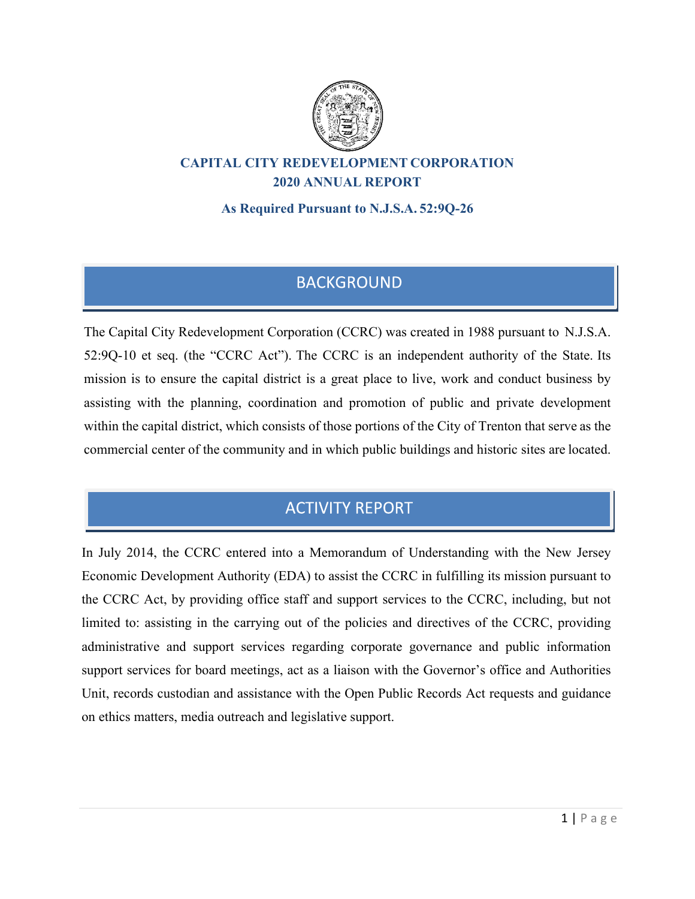

## **CAPITAL CITY REDEVELOPMENT CORPORATION 2020 ANNUAL REPORT**

**As Required Pursuant to N.J.S.A. 52:9Q-26**

## **BACKGROUND**

The Capital City Redevelopment Corporation (CCRC) was created in 1988 pursuant to N.J.S.A. 52:9Q-10 et seq. (the "CCRC Act"). The CCRC is an independent authority of the State. Its mission is to ensure the capital district is a great place to live, work and conduct business by assisting with the planning, coordination and promotion of public and private development within the capital district, which consists of those portions of the City of Trenton that serve as the commercial center of the community and in which public buildings and historic sites are located.

# **ACTIVITY REPORT**

In July 2014, the CCRC entered into a Memorandum of Understanding with the New Jersey Economic Development Authority (EDA) to assist the CCRC in fulfilling its mission pursuant to the CCRC Act, by providing office staff and support services to the CCRC, including, but not limited to: assisting in the carrying out of the policies and directives of the CCRC, providing administrative and support services regarding corporate governance and public information support services for board meetings, act as a liaison with the Governor's office and Authorities Unit, records custodian and assistance with the Open Public Records Act requests and guidance on ethics matters, media outreach and legislative support.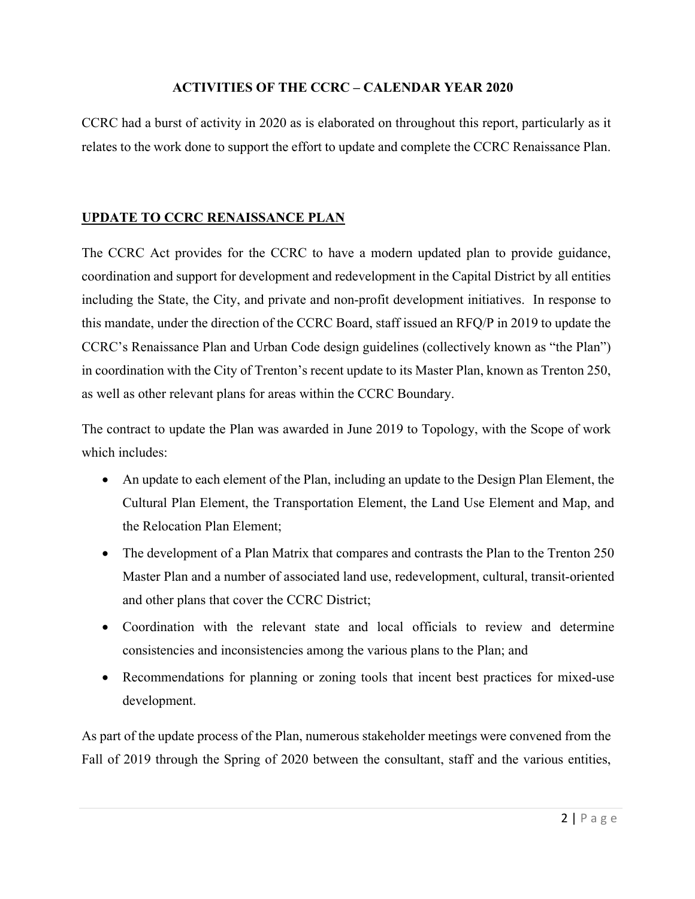#### **ACTIVITIES OF THE CCRC – CALENDAR YEAR 2020**

CCRC had a burst of activity in 2020 as is elaborated on throughout this report, particularly as it relates to the work done to support the effort to update and complete the CCRC Renaissance Plan.

## **UPDATE TO CCRC RENAISSANCE PLAN**

The CCRC Act provides for the CCRC to have a modern updated plan to provide guidance, coordination and support for development and redevelopment in the Capital District by all entities including the State, the City, and private and non-profit development initiatives. In response to this mandate, under the direction of the CCRC Board, staff issued an RFQ/P in 2019 to update the CCRC's Renaissance Plan and Urban Code design guidelines (collectively known as "the Plan") in coordination with the City of Trenton's recent update to its Master Plan, known as Trenton 250, as well as other relevant plans for areas within the CCRC Boundary.

The contract to update the Plan was awarded in June 2019 to Topology, with the Scope of work which includes:

- An update to each element of the Plan, including an update to the Design Plan Element, the Cultural Plan Element, the Transportation Element, the Land Use Element and Map, and the Relocation Plan Element;
- The development of a Plan Matrix that compares and contrasts the Plan to the Trenton 250 Master Plan and a number of associated land use, redevelopment, cultural, transit-oriented and other plans that cover the CCRC District;
- Coordination with the relevant state and local officials to review and determine consistencies and inconsistencies among the various plans to the Plan; and
- Recommendations for planning or zoning tools that incent best practices for mixed-use development.

As part of the update process of the Plan, numerous stakeholder meetings were convened from the Fall of 2019 through the Spring of 2020 between the consultant, staff and the various entities,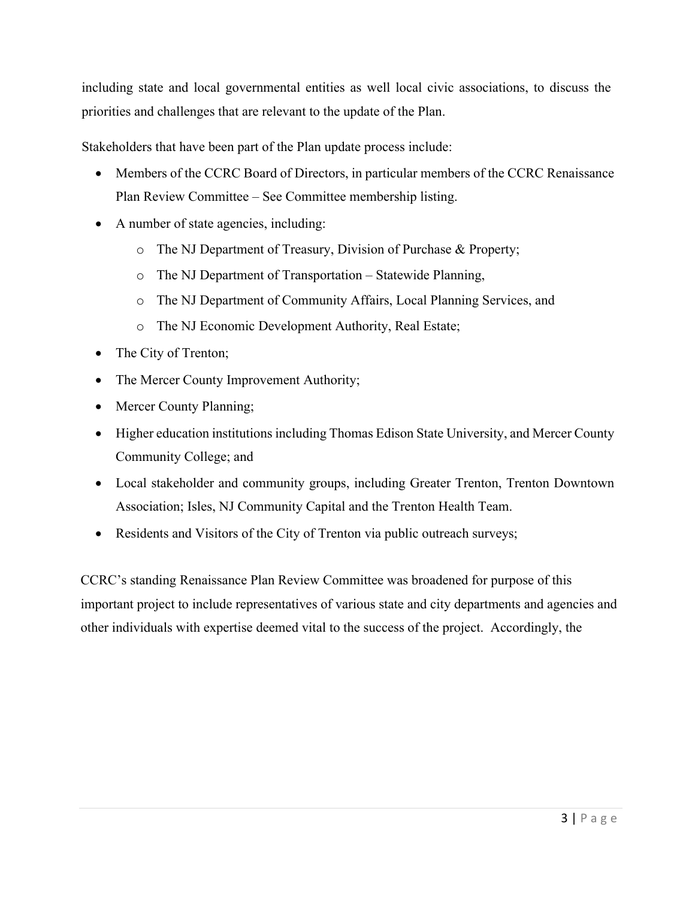including state and local governmental entities as well local civic associations, to discuss the priorities and challenges that are relevant to the update of the Plan.

Stakeholders that have been part of the Plan update process include:

- Members of the CCRC Board of Directors, in particular members of the CCRC Renaissance Plan Review Committee – See Committee membership listing.
- A number of state agencies, including:
	- o The NJ Department of Treasury, Division of Purchase & Property;
	- o The NJ Department of Transportation Statewide Planning,
	- o The NJ Department of Community Affairs, Local Planning Services, and
	- o The NJ Economic Development Authority, Real Estate;
- The City of Trenton;
- The Mercer County Improvement Authority;
- Mercer County Planning;
- Higher education institutions including Thomas Edison State University, and Mercer County Community College; and
- Local stakeholder and community groups, including Greater Trenton, Trenton Downtown Association; Isles, NJ Community Capital and the Trenton Health Team.
- Residents and Visitors of the City of Trenton via public outreach surveys;

CCRC's standing Renaissance Plan Review Committee was broadened for purpose of this important project to include representatives of various state and city departments and agencies and other individuals with expertise deemed vital to the success of the project. Accordingly, the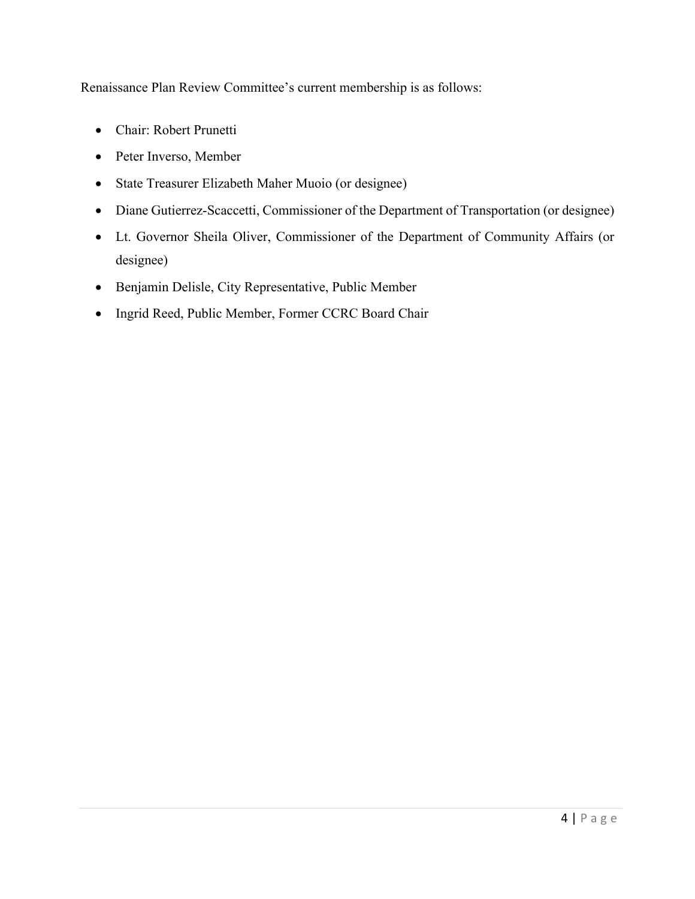Renaissance Plan Review Committee's current membership is as follows:

- Chair: Robert Prunetti
- Peter Inverso, Member
- State Treasurer Elizabeth Maher Muoio (or designee)
- Diane Gutierrez-Scaccetti, Commissioner of the Department of Transportation (or designee)
- Lt. Governor Sheila Oliver, Commissioner of the Department of Community Affairs (or designee)
- Benjamin Delisle, City Representative, Public Member
- Ingrid Reed, Public Member, Former CCRC Board Chair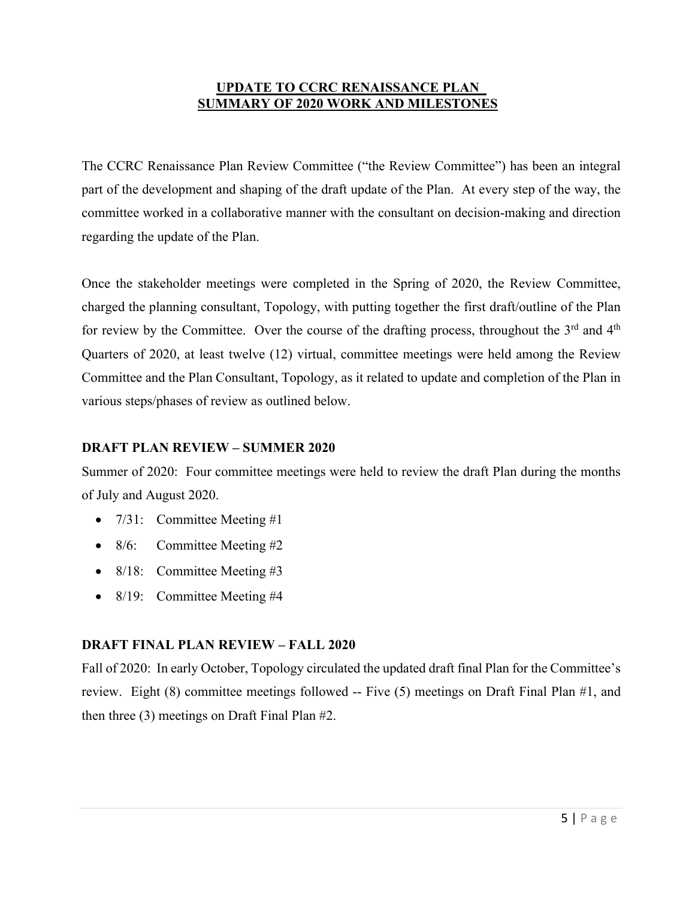#### **UPDATE TO CCRC RENAISSANCE PLAN SUMMARY OF 2020 WORK AND MILESTONES**

The CCRC Renaissance Plan Review Committee ("the Review Committee") has been an integral part of the development and shaping of the draft update of the Plan. At every step of the way, the committee worked in a collaborative manner with the consultant on decision-making and direction regarding the update of the Plan.

Once the stakeholder meetings were completed in the Spring of 2020, the Review Committee, charged the planning consultant, Topology, with putting together the first draft/outline of the Plan for review by the Committee. Over the course of the drafting process, throughout the  $3<sup>rd</sup>$  and  $4<sup>th</sup>$ Quarters of 2020, at least twelve (12) virtual, committee meetings were held among the Review Committee and the Plan Consultant, Topology, as it related to update and completion of the Plan in various steps/phases of review as outlined below.

### **DRAFT PLAN REVIEW – SUMMER 2020**

Summer of 2020: Four committee meetings were held to review the draft Plan during the months of July and August 2020.

- $7/31$ : Committee Meeting #1
- 8/6: Committee Meeting #2
- 8/18: Committee Meeting #3
- 8/19: Committee Meeting #4

## **DRAFT FINAL PLAN REVIEW – FALL 2020**

Fall of 2020: In early October, Topology circulated the updated draft final Plan for the Committee's review. Eight (8) committee meetings followed -- Five (5) meetings on Draft Final Plan #1, and then three (3) meetings on Draft Final Plan #2.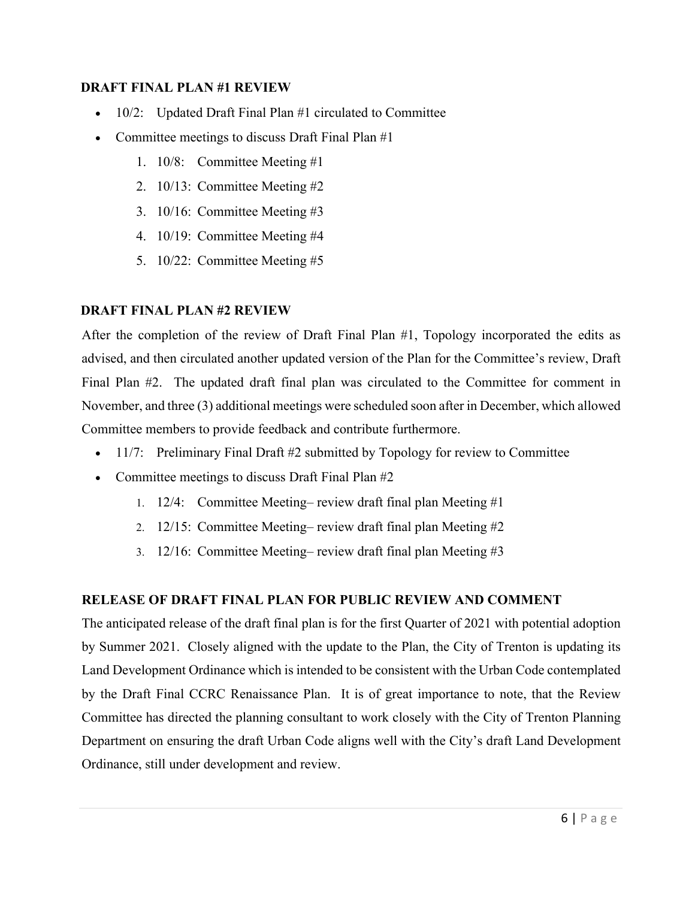#### **DRAFT FINAL PLAN #1 REVIEW**

- 10/2: Updated Draft Final Plan #1 circulated to Committee
- Committee meetings to discuss Draft Final Plan #1
	- 1. 10/8: Committee Meeting #1
	- 2. 10/13: Committee Meeting #2
	- 3. 10/16: Committee Meeting #3
	- 4. 10/19: Committee Meeting #4
	- 5. 10/22: Committee Meeting #5

#### **DRAFT FINAL PLAN #2 REVIEW**

After the completion of the review of Draft Final Plan #1, Topology incorporated the edits as advised, and then circulated another updated version of the Plan for the Committee's review, Draft Final Plan #2. The updated draft final plan was circulated to the Committee for comment in November, and three (3) additional meetings were scheduled soon after in December, which allowed Committee members to provide feedback and contribute furthermore.

- 11/7: Preliminary Final Draft #2 submitted by Topology for review to Committee
- Committee meetings to discuss Draft Final Plan #2
	- 1. 12/4: Committee Meeting– review draft final plan Meeting #1
	- 2. 12/15: Committee Meeting– review draft final plan Meeting #2
	- 3. 12/16: Committee Meeting– review draft final plan Meeting #3

### **RELEASE OF DRAFT FINAL PLAN FOR PUBLIC REVIEW AND COMMENT**

The anticipated release of the draft final plan is for the first Quarter of 2021 with potential adoption by Summer 2021. Closely aligned with the update to the Plan, the City of Trenton is updating its Land Development Ordinance which is intended to be consistent with the Urban Code contemplated by the Draft Final CCRC Renaissance Plan. It is of great importance to note, that the Review Committee has directed the planning consultant to work closely with the City of Trenton Planning Department on ensuring the draft Urban Code aligns well with the City's draft Land Development Ordinance, still under development and review.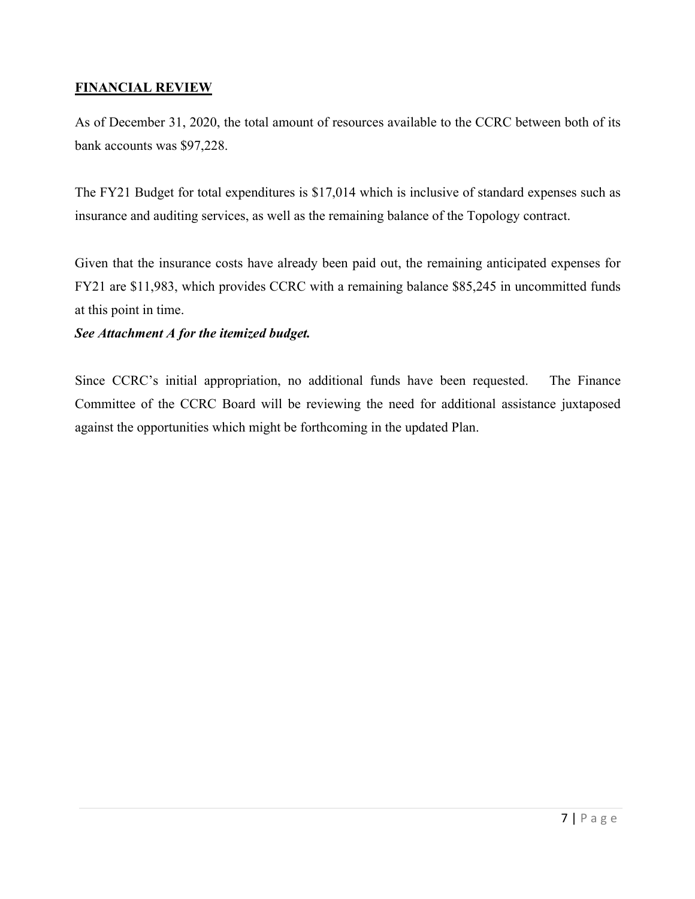## **FINANCIAL REVIEW**

As of December 31, 2020, the total amount of resources available to the CCRC between both of its bank accounts was \$97,228.

The FY21 Budget for total expenditures is \$17,014 which is inclusive of standard expenses such as insurance and auditing services, as well as the remaining balance of the Topology contract.

Given that the insurance costs have already been paid out, the remaining anticipated expenses for FY21 are \$11,983, which provides CCRC with a remaining balance \$85,245 in uncommitted funds at this point in time.

### *See Attachment A for the itemized budget.*

Since CCRC's initial appropriation, no additional funds have been requested. The Finance Committee of the CCRC Board will be reviewing the need for additional assistance juxtaposed against the opportunities which might be forthcoming in the updated Plan.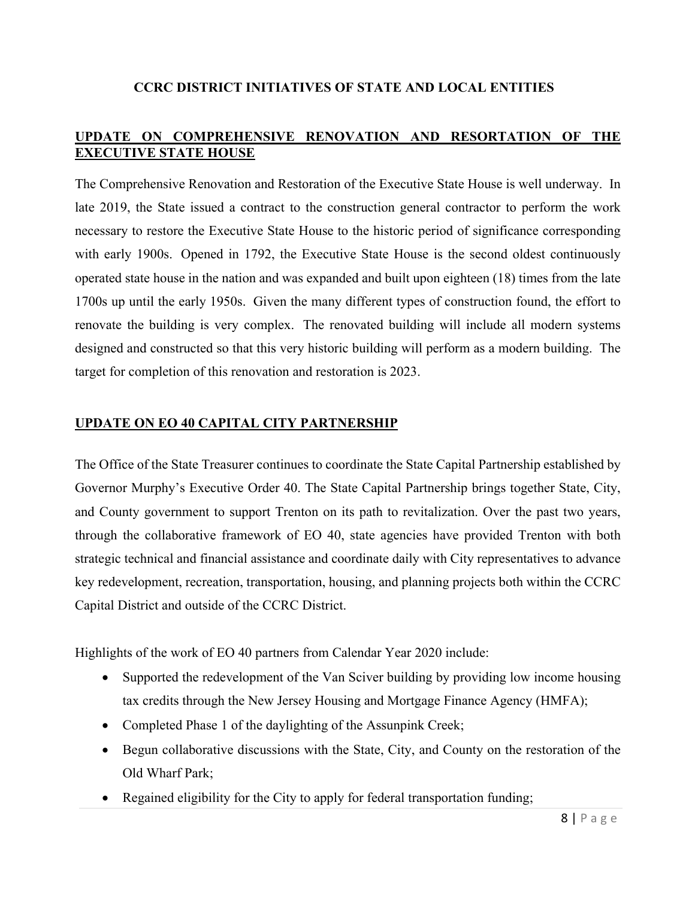## **CCRC DISTRICT INITIATIVES OF STATE AND LOCAL ENTITIES**

## **UPDATE ON COMPREHENSIVE RENOVATION AND RESORTATION OF THE EXECUTIVE STATE HOUSE**

The Comprehensive Renovation and Restoration of the Executive State House is well underway. In late 2019, the State issued a contract to the construction general contractor to perform the work necessary to restore the Executive State House to the historic period of significance corresponding with early 1900s. Opened in 1792, the Executive State House is the second oldest continuously operated state house in the nation and was expanded and built upon eighteen (18) times from the late 1700s up until the early 1950s. Given the many different types of construction found, the effort to renovate the building is very complex. The renovated building will include all modern systems designed and constructed so that this very historic building will perform as a modern building. The target for completion of this renovation and restoration is 2023.

### **UPDATE ON EO 40 CAPITAL CITY PARTNERSHIP**

The Office of the State Treasurer continues to coordinate the State Capital Partnership established by Governor Murphy's Executive Order 40. The State Capital Partnership brings together State, City, and County government to support Trenton on its path to revitalization. Over the past two years, through the collaborative framework of EO 40, state agencies have provided Trenton with both strategic technical and financial assistance and coordinate daily with City representatives to advance key redevelopment, recreation, transportation, housing, and planning projects both within the CCRC Capital District and outside of the CCRC District.

Highlights of the work of EO 40 partners from Calendar Year 2020 include:

- Supported the redevelopment of the Van Sciver building by providing low income housing tax credits through the New Jersey Housing and Mortgage Finance Agency (HMFA);
- Completed Phase 1 of the daylighting of the Assunpink Creek;
- Begun collaborative discussions with the State, City, and County on the restoration of the Old Wharf Park;
- Regained eligibility for the City to apply for federal transportation funding;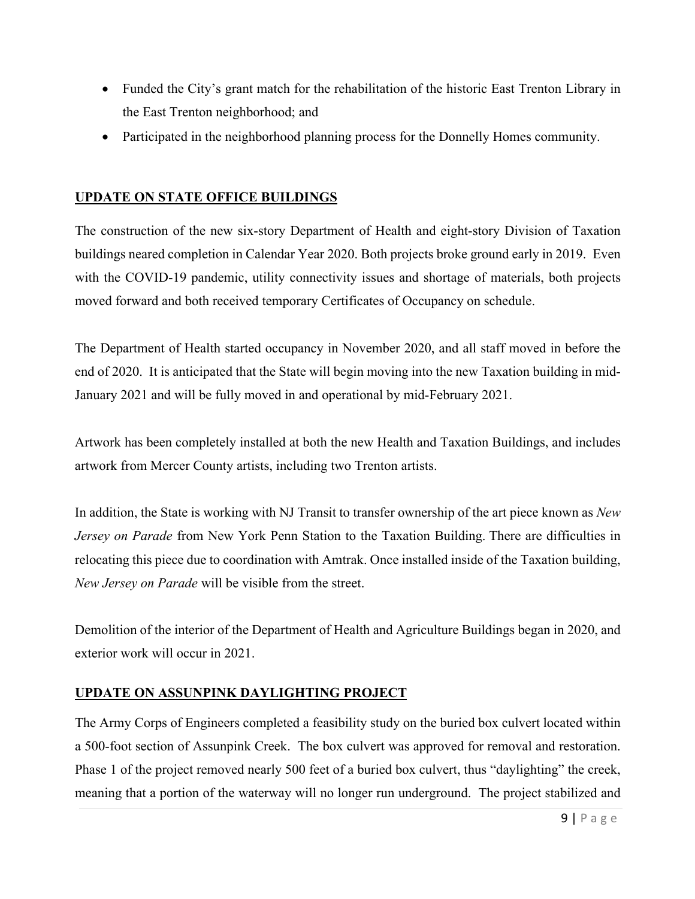- Funded the City's grant match for the rehabilitation of the historic East Trenton Library in the East Trenton neighborhood; and
- Participated in the neighborhood planning process for the Donnelly Homes community.

## **UPDATE ON STATE OFFICE BUILDINGS**

The construction of the new six-story Department of Health and eight-story Division of Taxation buildings neared completion in Calendar Year 2020. Both projects broke ground early in 2019. Even with the COVID-19 pandemic, utility connectivity issues and shortage of materials, both projects moved forward and both received temporary Certificates of Occupancy on schedule.

The Department of Health started occupancy in November 2020, and all staff moved in before the end of 2020. It is anticipated that the State will begin moving into the new Taxation building in mid-January 2021 and will be fully moved in and operational by mid-February 2021.

Artwork has been completely installed at both the new Health and Taxation Buildings, and includes artwork from Mercer County artists, including two Trenton artists.

In addition, the State is working with NJ Transit to transfer ownership of the art piece known as *New Jersey on Parade* from New York Penn Station to the Taxation Building. There are difficulties in relocating this piece due to coordination with Amtrak. Once installed inside of the Taxation building, *New Jersey on Parade* will be visible from the street.

Demolition of the interior of the Department of Health and Agriculture Buildings began in 2020, and exterior work will occur in 2021.

## **UPDATE ON ASSUNPINK DAYLIGHTING PROJECT**

The Army Corps of Engineers completed a feasibility study on the buried box culvert located within a 500-foot section of Assunpink Creek. The box culvert was approved for removal and restoration. Phase 1 of the project removed nearly 500 feet of a buried box culvert, thus "daylighting" the creek, meaning that a portion of the waterway will no longer run underground. The project stabilized and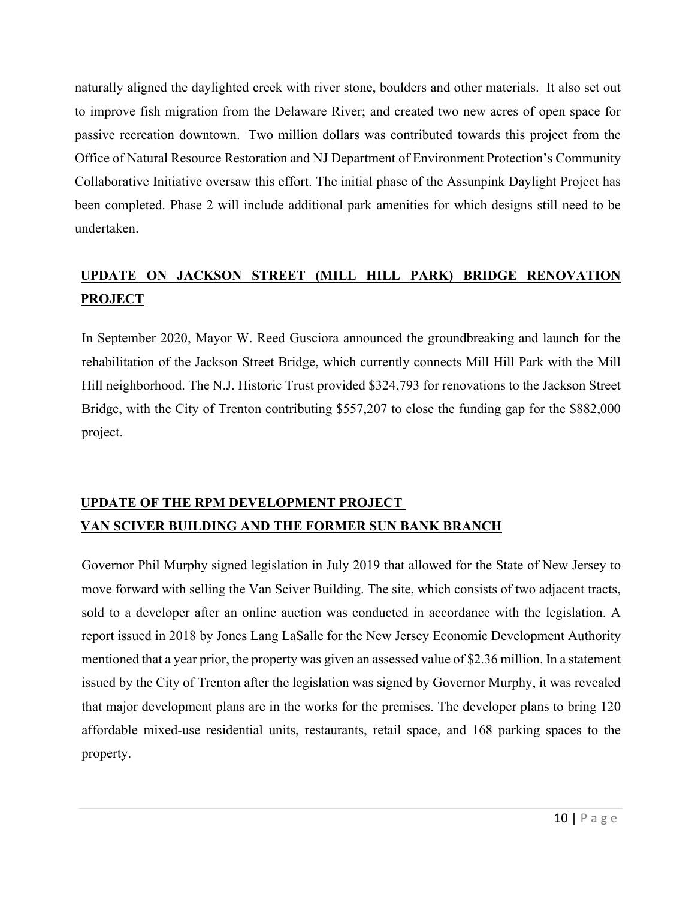naturally aligned the daylighted creek with river stone, boulders and other materials. It also set out to improve fish migration from the Delaware River; and created two new acres of open space for passive recreation downtown. Two million dollars was contributed towards this project from the Office of Natural Resource Restoration and NJ Department of Environment Protection's Community Collaborative Initiative oversaw this effort. The initial phase of the Assunpink Daylight Project has been completed. Phase 2 will include additional park amenities for which designs still need to be undertaken.

## **UPDATE ON JACKSON STREET (MILL HILL PARK) BRIDGE RENOVATION PROJECT**

In September 2020, Mayor W. Reed Gusciora announced the groundbreaking and launch for the rehabilitation of the Jackson Street Bridge, which currently connects Mill Hill Park with the Mill Hill neighborhood. The N.J. Historic Trust provided \$324,793 for renovations to the Jackson Street Bridge, with the City of Trenton contributing \$557,207 to close the funding gap for the \$882,000 project.

## **UPDATE OF THE RPM DEVELOPMENT PROJECT VAN SCIVER BUILDING AND THE FORMER SUN BANK BRANCH**

Governor Phil Murphy signed legislation in July 2019 that allowed for the State of New Jersey to move forward with selling the Van Sciver Building. The site, which consists of two adjacent tracts, sold to a developer after an online auction was conducted in accordance with the legislation. A report issued in 2018 by Jones Lang LaSalle for the New Jersey Economic Development Authority mentioned that a year prior, the property was given an assessed value of \$2.36 million. In a statement issued by the City of Trenton after the legislation was signed by Governor Murphy, it was revealed that major development plans are in the works for the premises. The developer plans to bring 120 affordable mixed-use residential units, restaurants, retail space, and 168 parking spaces to the property.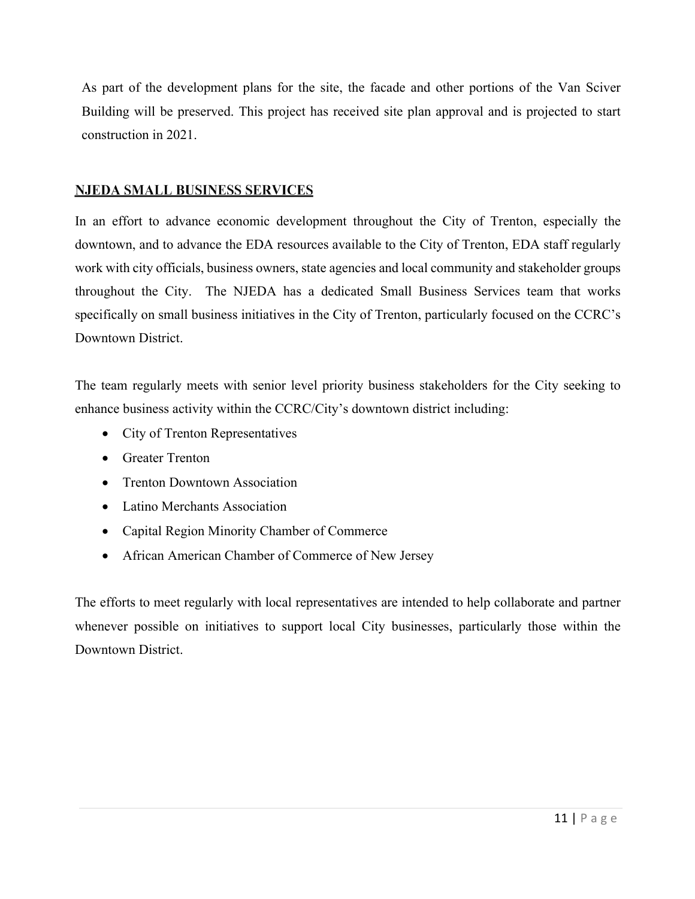As part of the development plans for the site, the facade and other portions of the Van Sciver Building will be preserved. This project has received site plan approval and is projected to start construction in 2021.

### **NJEDA SMALL BUSINESS SERVICES**

In an effort to advance economic development throughout the City of Trenton, especially the downtown, and to advance the EDA resources available to the City of Trenton, EDA staff regularly work with city officials, business owners, state agencies and local community and stakeholder groups throughout the City. The NJEDA has a dedicated Small Business Services team that works specifically on small business initiatives in the City of Trenton, particularly focused on the CCRC's Downtown District.

The team regularly meets with senior level priority business stakeholders for the City seeking to enhance business activity within the CCRC/City's downtown district including:

- City of Trenton Representatives
- Greater Trenton
- Trenton Downtown Association
- Latino Merchants Association
- Capital Region Minority Chamber of Commerce
- African American Chamber of Commerce of New Jersey

The efforts to meet regularly with local representatives are intended to help collaborate and partner whenever possible on initiatives to support local City businesses, particularly those within the Downtown District.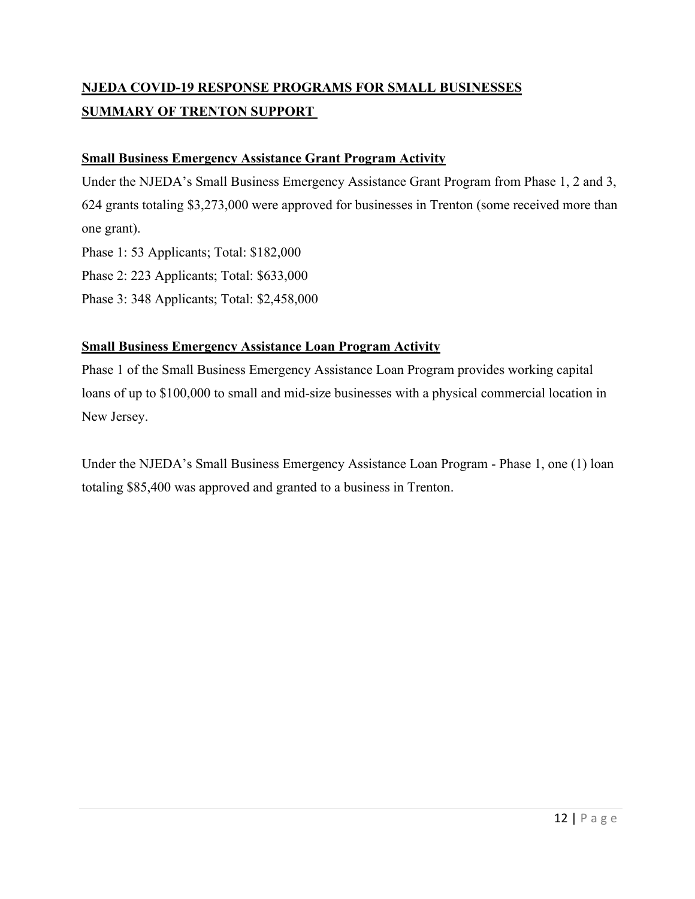## **NJEDA COVID-19 RESPONSE PROGRAMS FOR SMALL BUSINESSES SUMMARY OF TRENTON SUPPORT**

#### **Small Business Emergency Assistance Grant Program Activity**

Under the NJEDA's Small Business Emergency Assistance Grant Program from Phase 1, 2 and 3, 624 grants totaling \$3,273,000 were approved for businesses in Trenton (some received more than one grant).

Phase 1: 53 Applicants; Total: \$182,000

Phase 2: 223 Applicants; Total: \$633,000

Phase 3: 348 Applicants; Total: \$2,458,000

### **Small Business Emergency Assistance Loan Program Activity**

Phase 1 of the Small Business Emergency Assistance Loan Program provides working capital loans of up to \$100,000 to small and mid-size businesses with a physical commercial location in New Jersey.

Under the NJEDA's Small Business Emergency Assistance Loan Program - Phase 1, one (1) loan totaling \$85,400 was approved and granted to a business in Trenton.